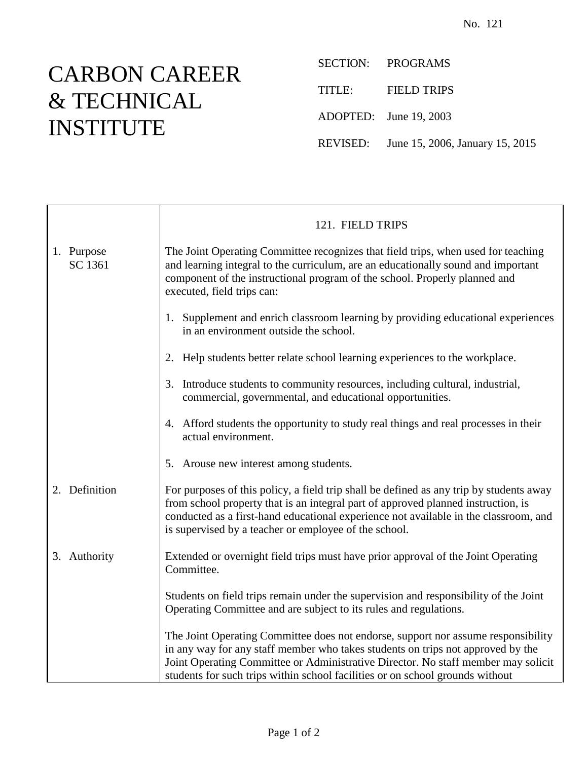## CARBON CAREER & TECHNICAL INSTITUTE

SECTION: PROGRAMS TITLE: FIELD TRIPS ADOPTED: June 19, 2003 REVISED: June 15, 2006, January 15, 2015

|                       | 121. FIELD TRIPS                                                                                                                                                                                                                                                                                                                           |
|-----------------------|--------------------------------------------------------------------------------------------------------------------------------------------------------------------------------------------------------------------------------------------------------------------------------------------------------------------------------------------|
| 1. Purpose<br>SC 1361 | The Joint Operating Committee recognizes that field trips, when used for teaching<br>and learning integral to the curriculum, are an educationally sound and important<br>component of the instructional program of the school. Properly planned and<br>executed, field trips can:                                                         |
|                       | 1. Supplement and enrich classroom learning by providing educational experiences<br>in an environment outside the school.                                                                                                                                                                                                                  |
|                       | 2. Help students better relate school learning experiences to the workplace.                                                                                                                                                                                                                                                               |
|                       | 3. Introduce students to community resources, including cultural, industrial,<br>commercial, governmental, and educational opportunities.                                                                                                                                                                                                  |
|                       | 4. Afford students the opportunity to study real things and real processes in their<br>actual environment.                                                                                                                                                                                                                                 |
|                       | 5. Arouse new interest among students.                                                                                                                                                                                                                                                                                                     |
| 2. Definition         | For purposes of this policy, a field trip shall be defined as any trip by students away<br>from school property that is an integral part of approved planned instruction, is<br>conducted as a first-hand educational experience not available in the classroom, and<br>is supervised by a teacher or employee of the school.              |
| 3. Authority          | Extended or overnight field trips must have prior approval of the Joint Operating<br>Committee.                                                                                                                                                                                                                                            |
|                       | Students on field trips remain under the supervision and responsibility of the Joint<br>Operating Committee and are subject to its rules and regulations.                                                                                                                                                                                  |
|                       | The Joint Operating Committee does not endorse, support nor assume responsibility<br>in any way for any staff member who takes students on trips not approved by the<br>Joint Operating Committee or Administrative Director. No staff member may solicit<br>students for such trips within school facilities or on school grounds without |